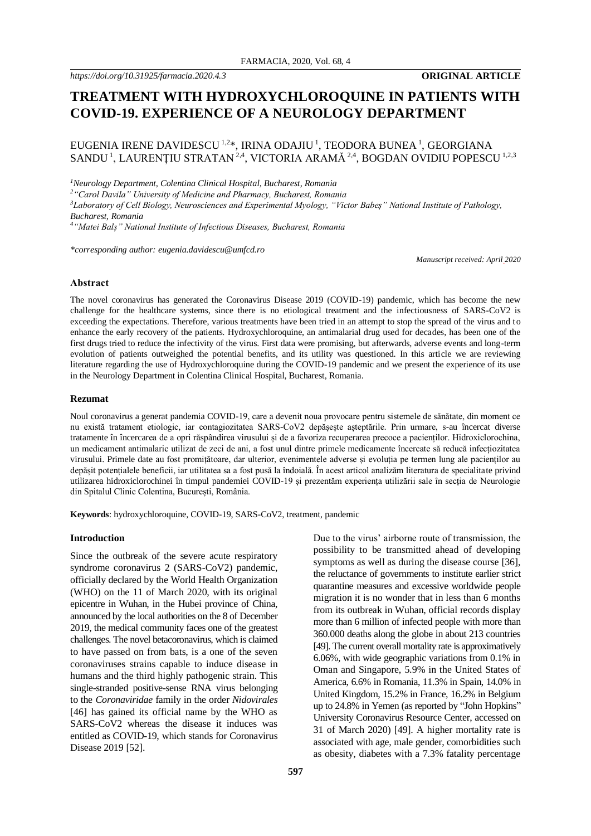# **TREATMENT WITH HYDROXYCHLOROQUINE IN PATIENTS WITH COVID-19. EXPERIENCE OF A NEUROLOGY DEPARTMENT**

# EUGENIA IRENE DAVIDESCU 1,2\*, IRINA ODAJIU <sup>1</sup>, TEODORA BUNEA <sup>1</sup>, GEORGIANA SANDU  $^{1}$ , LAURENȚIU STRATAN  $^{2,4}$ , VICTORIA ARAMĂ  $^{2,4}$ , BOGDAN OVIDIU POPESCU  $^{1,2,3}$

*<sup>1</sup>Neurology Department, Colentina Clinical Hospital, Bucharest, Romania*

*<sup>2</sup>"Carol Davila" University of Medicine and Pharmacy, Bucharest, Romania*

*<sup>3</sup>Laboratory of Cell Biology, Neurosciences and Experimental Myology, "Victor Babeș" National Institute of Pathology, Bucharest, Romania*

*<sup>4</sup>"Matei Balș" National Institute of Infectious Diseases, Bucharest, Romania*

*\*corresponding author: eugenia.davidescu@umfcd.ro*

*Manuscript received: April 2020*

#### **Abstract**

The novel coronavirus has generated the Coronavirus Disease 2019 (COVID-19) pandemic, which has become the new challenge for the healthcare systems, since there is no etiological treatment and the infectiousness of SARS-CoV2 is exceeding the expectations. Therefore, various treatments have been tried in an attempt to stop the spread of the virus and to enhance the early recovery of the patients. Hydroxychloroquine, an antimalarial drug used for decades, has been one of the first drugs tried to reduce the infectivity of the virus. First data were promising, but afterwards, adverse events and long-term evolution of patients outweighed the potential benefits, and its utility was questioned. In this article we are reviewing literature regarding the use of Hydroxychloroquine during the COVID-19 pandemic and we present the experience of its use in the Neurology Department in Colentina Clinical Hospital, Bucharest, Romania.

#### **Rezumat**

Noul coronavirus a generat pandemia COVID-19, care a devenit noua provocare pentru sistemele de sănătate, din moment ce nu există tratament etiologic, iar contagiozitatea SARS-CoV2 depășește așteptările. Prin urmare, s-au încercat diverse tratamente în încercarea de a opri răspândirea virusului și de a favoriza recuperarea precoce a pacienților. Hidroxiclorochina, un medicament antimalaric utilizat de zeci de ani, a fost unul dintre primele medicamente încercate să reducă infecțiozitatea virusului. Primele date au fost promițătoare, dar ulterior, evenimentele adverse și evoluția pe termen lung ale pacienților au depășit potențialele beneficii, iar utilitatea sa a fost pusă la îndoială. În acest articol analizăm literatura de specialitate privind utilizarea hidroxiclorochinei în timpul pandemiei COVID-19 și prezentăm experiența utilizării sale în secția de Neurologie din Spitalul Clinic Colentina, București, România.

**Keywords**: hydroxychloroquine, COVID-19, SARS-CoV2, treatment, pandemic

## **Introduction**

Since the outbreak of the severe acute respiratory syndrome coronavirus 2 (SARS-CoV2) pandemic, officially declared by the World Health Organization (WHO) on the 11 of March 2020, with its original epicentre in Wuhan, in the Hubei province of China, announced by the local authorities on the 8 of December 2019, the medical community faces one of the greatest challenges. The novel betacoronavirus, which is claimed to have passed on from bats, is a one of the seven coronaviruses strains capable to induce disease in humans and the third highly pathogenic strain. This single-stranded positive-sense RNA virus belonging to the *Coronaviridae* family in the order *Nidovirales* [46] has gained its official name by the WHO as SARS-CoV2 whereas the disease it induces was entitled as COVID-19, which stands for Coronavirus Disease 2019 [52].

Due to the virus' airborne route of transmission, the possibility to be transmitted ahead of developing symptoms as well as during the disease course [36], the reluctance of governments to institute earlier strict quarantine measures and excessive worldwide people migration it is no wonder that in less than 6 months from its outbreak in Wuhan, official records display more than 6 million of infected people with more than 360.000 deaths along the globe in about 213 countries [49]. The current overall mortality rate is approximatively 6.06%, with wide geographic variations from 0.1% in Oman and Singapore, 5.9% in the United States of America, 6.6% in Romania, 11.3% in Spain, 14.0% in United Kingdom, 15.2% in France, 16.2% in Belgium up to 24.8% in Yemen (as reported by "John Hopkins" University Coronavirus Resource Center, accessed on 31 of March 2020) [49]. A higher mortality rate is associated with age, male gender, comorbidities such as obesity, diabetes with a 7.3% fatality percentage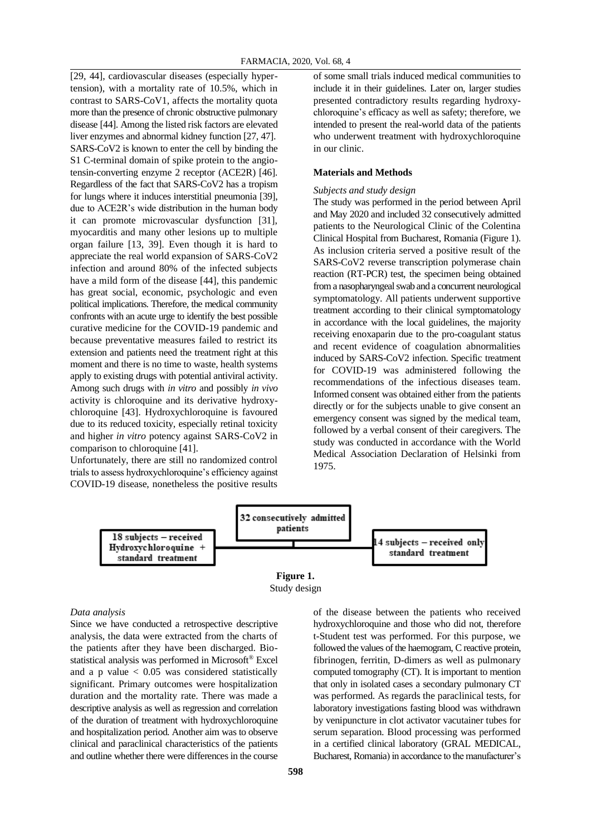[29, 44], cardiovascular diseases (especially hypertension), with a mortality rate of 10.5%, which in contrast to SARS-CoV1, affects the mortality quota more than the presence of chronic obstructive pulmonary disease [44]. Among the listed risk factors are elevated liver enzymes and abnormal kidney function [27, 47]. SARS-CoV2 is known to enter the cell by binding the S1 C-terminal domain of spike protein to the angiotensin-converting enzyme 2 receptor (ACE2R) [46]. Regardless of the fact that SARS-CoV2 has a tropism for lungs where it induces interstitial pneumonia [39], due to ACE2R's wide distribution in the human body it can promote microvascular dysfunction [31], myocarditis and many other lesions up to multiple organ failure [13, 39]. Even though it is hard to appreciate the real world expansion of SARS-CoV2 infection and around 80% of the infected subjects have a mild form of the disease [44], this pandemic has great social, economic, psychologic and even political implications. Therefore, the medical community confronts with an acute urge to identify the best possible curative medicine for the COVID-19 pandemic and because preventative measures failed to restrict its extension and patients need the treatment right at this moment and there is no time to waste, health systems apply to existing drugs with potential antiviral activity. Among such drugs with *in vitro* and possibly *in vivo* activity is chloroquine and its derivative hydroxychloroquine [43]. Hydroxychloroquine is favoured due to its reduced toxicity, especially retinal toxicity and higher *in vitro* potency against SARS-CoV2 in comparison to chloroquine [41].

Unfortunately, there are still no randomized control trials to assess hydroxychloroquine's efficiency against COVID-19 disease, nonetheless the positive results

of some small trials induced medical communities to include it in their guidelines. Later on, larger studies presented contradictory results regarding hydroxychloroquine's efficacy as well as safety; therefore, we intended to present the real-world data of the patients who underwent treatment with hydroxychloroquine in our clinic.

#### **Materials and Methods**

#### *Subjects and study design*

The study was performed in the period between April and May 2020 and included 32 consecutively admitted patients to the Neurological Clinic of the Colentina Clinical Hospital from Bucharest, Romania (Figure 1). As inclusion criteria served a positive result of the SARS-CoV2 reverse transcription polymerase chain reaction (RT-PCR) test, the specimen being obtained from a nasopharyngeal swab and a concurrent neurological symptomatology. All patients underwent supportive treatment according to their clinical symptomatology in accordance with the local guidelines, the majority receiving enoxaparin due to the pro-coagulant status and recent evidence of coagulation abnormalities induced by SARS-CoV2 infection. Specific treatment for COVID-19 was administered following the recommendations of the infectious diseases team. Informed consent was obtained either from the patients directly or for the subjects unable to give consent an emergency consent was signed by the medical team, followed by a verbal consent of their caregivers. The study was conducted in accordance with the World Medical Association Declaration of Helsinki from 1975.





### *Data analysis*

Since we have conducted a retrospective descriptive analysis, the data were extracted from the charts of the patients after they have been discharged. Biostatistical analysis was performed in Microsoft® Excel and a p value  $< 0.05$  was considered statistically significant. Primary outcomes were hospitalization duration and the mortality rate. There was made a descriptive analysis as well as regression and correlation of the duration of treatment with hydroxychloroquine and hospitalization period. Another aim was to observe clinical and paraclinical characteristics of the patients and outline whether there were differences in the course

of the disease between the patients who received hydroxychloroquine and those who did not, therefore t-Student test was performed. For this purpose, we followed the values of the haemogram, C reactive protein, fibrinogen, ferritin, D-dimers as well as pulmonary computed tomography (CT). It is important to mention that only in isolated cases a secondary pulmonary CT was performed. As regards the paraclinical tests, for laboratory investigations fasting blood was withdrawn by venipuncture in clot activator vacutainer tubes for serum separation. Blood processing was performed in a certified clinical laboratory (GRAL MEDICAL, Bucharest, Romania) in accordance to the manufacturer's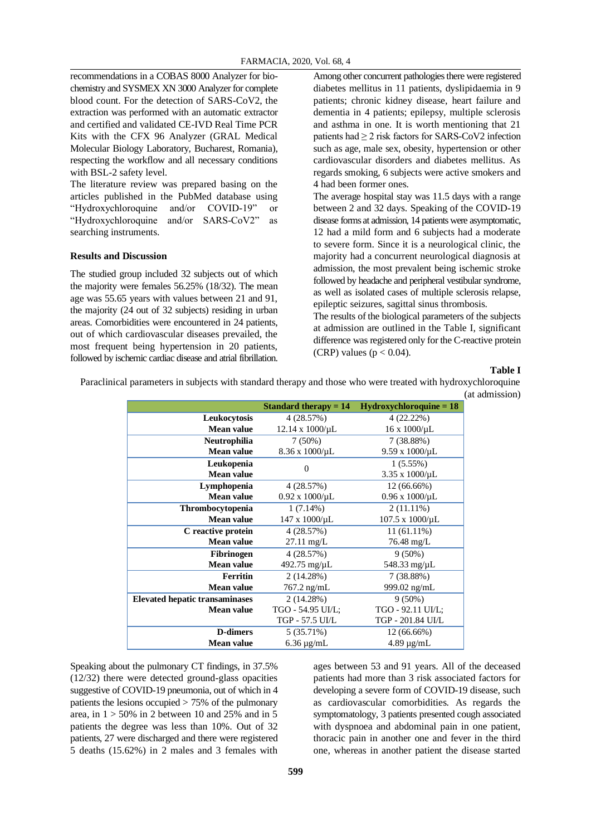recommendations in a COBAS 8000 Analyzer for biochemistry and SYSMEX XN 3000 Analyzer for complete blood count. For the detection of SARS-CoV2, the extraction was performed with an automatic extractor and certified and validated CE-IVD Real Time PCR Kits with the CFX 96 Analyzer (GRAL Medical Molecular Biology Laboratory, Bucharest, Romania), respecting the workflow and all necessary conditions with BSL-2 safety level.

The literature review was prepared basing on the articles published in the PubMed database using "Hydroxychloroquine and/or COVID-19" or "Hydroxychloroquine and/or SARS-CoV2" as searching instruments.

# **Results and Discussion**

The studied group included 32 subjects out of which the majority were females 56.25% (18/32). The mean age was 55.65 years with values between 21 and 91, the majority (24 out of 32 subjects) residing in urban areas. Comorbidities were encountered in 24 patients, out of which cardiovascular diseases prevailed, the most frequent being hypertension in 20 patients, followed by ischemic cardiac disease and atrial fibrillation.

Among other concurrent pathologies there were registered diabetes mellitus in 11 patients, dyslipidaemia in 9 patients; chronic kidney disease, heart failure and dementia in 4 patients; epilepsy, multiple sclerosis and asthma in one. It is worth mentioning that 21 patients had  $\geq 2$  risk factors for SARS-CoV2 infection such as age, male sex, obesity, hypertension or other cardiovascular disorders and diabetes mellitus. As regards smoking, 6 subjects were active smokers and 4 had been former ones.

The average hospital stay was 11.5 days with a range between 2 and 32 days. Speaking of the COVID-19 disease forms at admission, 14 patients were asymptomatic, 12 had a mild form and 6 subjects had a moderate to severe form. Since it is a neurological clinic, the majority had a concurrent neurological diagnosis at admission, the most prevalent being ischemic stroke followed by headache and peripheral vestibular syndrome, as well as isolated cases of multiple sclerosis relapse, epileptic seizures, sagittal sinus thrombosis.

The results of the biological parameters of the subjects at admission are outlined in the Table I, significant difference was registered only for the C-reactive protein (CRP) values ( $p < 0.04$ ).

#### **Table I**

Paraclinical parameters in subjects with standard therapy and those who were treated with hydroxychloroquine (at admission)

|                                       | <b>Standard therapy = 14</b> | $Hydroxychloroquine = 18$ |
|---------------------------------------|------------------------------|---------------------------|
| Leukocytosis                          | 4(28.57%)                    | 4(22.22%)                 |
| Mean value                            | $12.14 \times 1000/\mu L$    | $16 \times 1000/\mu L$    |
| Neutrophilia                          | $7(50\%)$                    | 7(38.88%)                 |
| <b>Mean value</b>                     | 8.36 x 1000/µL               | $9.59 \times 1000/\mu L$  |
| Leukopenia                            | $\Omega$                     | $1(5.55\%)$               |
| <b>Mean value</b>                     |                              | 3.35 x 1000/µL            |
| Lymphopenia                           | 4(28.57%)                    | 12 (66.66%)               |
| <b>Mean value</b>                     | $0.92 \times 1000/\mu L$     | $0.96 \times 1000/\mu L$  |
| <b>Thrombocytopenia</b>               | $1(7.14\%)$                  | $2(11.11\%)$              |
| <b>Mean value</b>                     | 147 x 1000/μL                | 107.5 x 1000/μL           |
| C reactive protein                    | 4(28.57%)                    | $11(61.11\%)$             |
| Mean value                            | $27.11 \text{ mg/L}$         | 76.48 mg/L                |
| <b>Fibrinogen</b>                     | 4(28.57%)                    | $9(50\%)$                 |
| <b>Mean value</b>                     | $492.75 \text{ mg/µL}$       | 548.33 mg/µL              |
| <b>Ferritin</b>                       | 2(14.28%)                    | 7(38.88%)                 |
| <b>Mean value</b>                     | $767.2$ ng/mL                | 999.02 ng/mL              |
| <b>Elevated hepatic transaminases</b> | 2(14.28%)                    | $9(50\%)$                 |
| <b>Mean value</b>                     | TGO - 54.95 UI/L;            | TGO - 92.11 UI/L;         |
|                                       | TGP - 57.5 UI/L              | TGP - 201.84 UI/L         |
| <b>D-dimers</b>                       | 5 (35.71%)                   | 12 (66.66%)               |
| Mean value                            | $6.36 \mu$ g/mL              | $4.89 \mu g/mL$           |

Speaking about the pulmonary CT findings, in 37.5% (12/32) there were detected ground-glass opacities suggestive of COVID-19 pneumonia, out of which in 4 patients the lesions occupied > 75% of the pulmonary area, in  $1 > 50\%$  in 2 between 10 and 25% and in 5 patients the degree was less than 10%. Out of 32 patients, 27 were discharged and there were registered 5 deaths (15.62%) in 2 males and 3 females with

ages between 53 and 91 years. All of the deceased patients had more than 3 risk associated factors for developing a severe form of COVID-19 disease, such as cardiovascular comorbidities. As regards the symptomatology, 3 patients presented cough associated with dyspnoea and abdominal pain in one patient, thoracic pain in another one and fever in the third one, whereas in another patient the disease started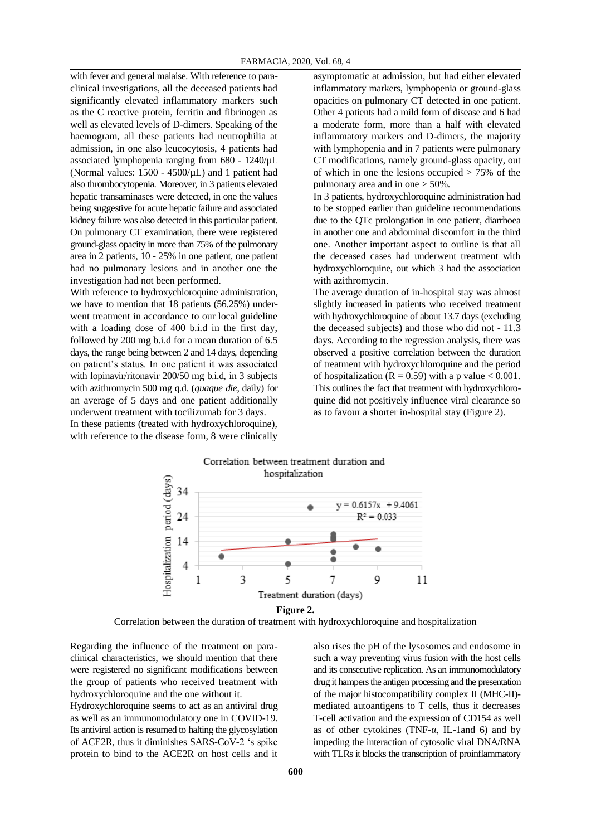with fever and general malaise. With reference to paraclinical investigations, all the deceased patients had significantly elevated inflammatory markers such as the C reactive protein, ferritin and fibrinogen as well as elevated levels of D-dimers. Speaking of the haemogram, all these patients had neutrophilia at admission, in one also leucocytosis, 4 patients had associated lymphopenia ranging from 680 - 1240/µL (Normal values:  $1500 - 4500/\mu L$ ) and 1 patient had also thrombocytopenia. Moreover, in 3 patients elevated hepatic transaminases were detected, in one the values being suggestive for acute hepatic failure and associated kidney failure was also detected in this particular patient. On pulmonary CT examination, there were registered ground-glass opacity in more than 75% of the pulmonary area in 2 patients, 10 - 25% in one patient, one patient had no pulmonary lesions and in another one the investigation had not been performed.

With reference to hydroxychloroquine administration, we have to mention that 18 patients (56.25%) underwent treatment in accordance to our local guideline with a loading dose of 400 b.i.d in the first day, followed by 200 mg b.i.d for a mean duration of 6.5 days, the range being between 2 and 14 days, depending on patient's status. In one patient it was associated with lopinavir/ritonavir 200/50 mg b.i.d, in 3 subjects with azithromycin 500 mg q.d. (*quaque die*, daily) for an average of 5 days and one patient additionally underwent treatment with tocilizumab for 3 days. In these patients (treated with hydroxychloroquine),

with reference to the disease form, 8 were clinically

asymptomatic at admission, but had either elevated inflammatory markers, lymphopenia or ground-glass opacities on pulmonary CT detected in one patient. Other 4 patients had a mild form of disease and 6 had a moderate form, more than a half with elevated inflammatory markers and D-dimers, the majority with lymphopenia and in 7 patients were pulmonary CT modifications, namely ground-glass opacity, out of which in one the lesions occupied  $> 75\%$  of the pulmonary area and in one > 50%.

In 3 patients, hydroxychloroquine administration had to be stopped earlier than guideline recommendations due to the QTc prolongation in one patient, diarrhoea in another one and abdominal discomfort in the third one. Another important aspect to outline is that all the deceased cases had underwent treatment with hydroxychloroquine, out which 3 had the association with azithromycin.

The average duration of in-hospital stay was almost slightly increased in patients who received treatment with hydroxychloroquine of about 13.7 days (excluding the deceased subjects) and those who did not - 11.3 days. According to the regression analysis, there was observed a positive correlation between the duration of treatment with hydroxychloroquine and the period of hospitalization ( $R = 0.59$ ) with a p value < 0.001. This outlines the fact that treatment with hydroxychloroquine did not positively influence viral clearance so as to favour a shorter in-hospital stay (Figure 2).





Regarding the influence of the treatment on paraclinical characteristics, we should mention that there were registered no significant modifications between the group of patients who received treatment with hydroxychloroquine and the one without it.

Hydroxychloroquine seems to act as an antiviral drug as well as an immunomodulatory one in COVID-19. Its antiviral action is resumed to halting the glycosylation of ACE2R, thus it diminishes SARS-CoV-2 's spike protein to bind to the ACE2R on host cells and it

also rises the pH of the lysosomes and endosome in such a way preventing virus fusion with the host cells and its consecutive replication. As an immunomodulatory drug it hampers the antigen processing and the presentation of the major histocompatibility complex II (MHC-II) mediated autoantigens to T cells, thus it decreases T-cell activation and the expression of CD154 as well as of other cytokines (TNF- $\alpha$ , IL-1and 6) and by impeding the interaction of cytosolic viral DNA/RNA with TLRs it blocks the transcription of proinflammatory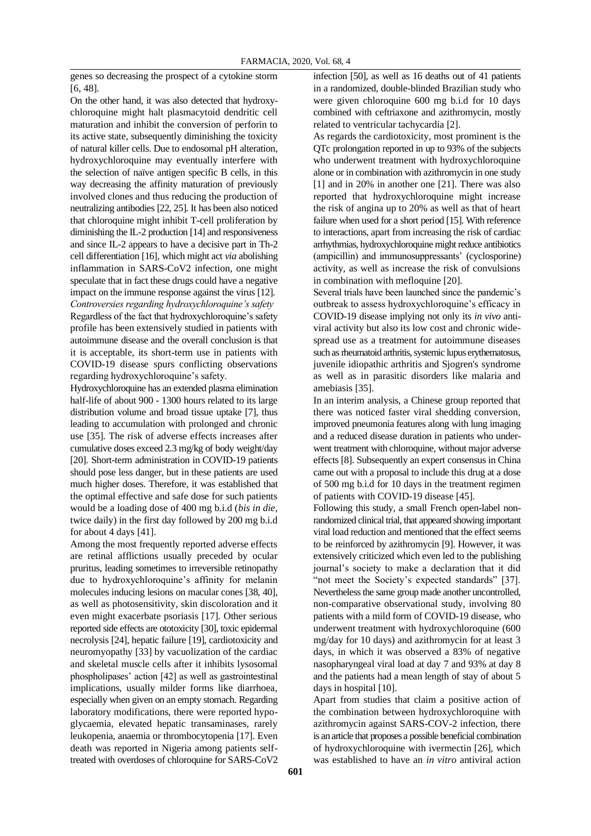genes so decreasing the prospect of a cytokine storm [6, 48].

On the other hand, it was also detected that hydroxychloroquine might halt plasmacytoid dendritic cell maturation and inhibit the conversion of perforin to its active state, subsequently diminishing the toxicity of natural killer cells. Due to endosomal pH alteration, hydroxychloroquine may eventually interfere with the selection of naïve antigen specific B cells, in this way decreasing the affinity maturation of previously involved clones and thus reducing the production of neutralizing antibodies [22, 25]. It has been also noticed that chloroquine might inhibit T-cell proliferation by diminishing the IL-2 production [14] and responsiveness and since IL-2 appears to have a decisive part in Th-2 cell differentiation [16], which might act *via* abolishing inflammation in SARS-CoV2 infection, one might speculate that in fact these drugs could have a negative impact on the immune response against the virus [12]. *Controversies regarding hydroxychloroquine's safety* Regardless of the fact that hydroxychloroquine's safety

profile has been extensively studied in patients with autoimmune disease and the overall conclusion is that it is acceptable, its short-term use in patients with COVID-19 disease spurs conflicting observations regarding hydroxychloroquine's safety.

Hydroxychloroquine has an extended plasma elimination half-life of about 900 - 1300 hours related to its large distribution volume and broad tissue uptake [7], thus leading to accumulation with prolonged and chronic use [35]. The risk of adverse effects increases after cumulative doses exceed 2.3 mg/kg of body weight/day [20]. Short-term administration in COVID-19 patients should pose less danger, but in these patients are used much higher doses. Therefore, it was established that the optimal effective and safe dose for such patients would be a loading dose of 400 mg b.i.d (*bis in die*, twice daily) in the first day followed by 200 mg b.i.d for about 4 days [41].

Among the most frequently reported adverse effects are retinal afflictions usually preceded by ocular pruritus, leading sometimes to irreversible retinopathy due to hydroxychloroquine's affinity for melanin molecules inducing lesions on macular cones [38, 40], as well as photosensitivity, skin discoloration and it even might exacerbate psoriasis [17]. Other serious reported side effects are ototoxicity [30], toxic epidermal necrolysis [24], hepatic failure [19], cardiotoxicity and neuromyopathy [33] by vacuolization of the cardiac and skeletal muscle cells after it inhibits lysosomal phospholipases' action [42] as well as gastrointestinal implications, usually milder forms like diarrhoea, especially when given on an empty stomach. Regarding laboratory modifications, there were reported hypoglycaemia, elevated hepatic transaminases, rarely leukopenia, anaemia or thrombocytopenia [17]. Even death was reported in Nigeria among patients selftreated with overdoses of chloroquine for SARS-CoV2

infection [50], as well as 16 deaths out of 41 patients in a randomized, double-blinded Brazilian study who were given chloroquine 600 mg b.i.d for 10 days combined with ceftriaxone and azithromycin, mostly related to ventricular tachycardia [2].

As regards the cardiotoxicity, most prominent is the QTc prolongation reported in up to 93% of the subjects who underwent treatment with hydroxychloroquine alone or in combination with azithromycin in one study [1] and in 20% in another one [21]. There was also reported that hydroxychloroquine might increase the risk of angina up to 20% as well as that of heart failure when used for a short period [15]. With reference to interactions, apart from increasing the risk of cardiac arrhythmias, hydroxychloroquine might reduce antibiotics (ampicillin) and immunosuppressants' (cyclosporine) activity, as well as increase the risk of convulsions in combination with mefloquine [20].

Several trials have been launched since the pandemic's outbreak to assess hydroxychloroquine's efficacy in COVID-19 disease implying not only its *in vivo* antiviral activity but also its low cost and chronic widespread use as a treatment for autoimmune diseases such as rheumatoid arthritis, systemic lupus erythematosus, juvenile idiopathic arthritis and Sjogren's syndrome as well as in parasitic disorders like malaria and amebiasis [35].

In an interim analysis, a Chinese group reported that there was noticed faster viral shedding conversion, improved pneumonia features along with lung imaging and a reduced disease duration in patients who underwent treatment with chloroquine, without major adverse effects [8]. Subsequently an expert consensus in China came out with a proposal to include this drug at a dose of 500 mg b.i.d for 10 days in the treatment regimen of patients with COVID-19 disease [45].

Following this study, a small French open-label nonrandomized clinical trial, that appeared showing important viral load reduction and mentioned that the effect seems to be reinforced by azithromycin [9]. However, it was extensively criticized which even led to the publishing journal's society to make a declaration that it did "not meet the Society's expected standards" [37]. Nevertheless the same group made another uncontrolled, non-comparative observational study, involving 80 patients with a mild form of COVID-19 disease, who underwent treatment with hydroxychloroquine (600 mg/day for 10 days) and azithromycin for at least 3 days, in which it was observed a 83% of negative nasopharyngeal viral load at day 7 and 93% at day 8 and the patients had a mean length of stay of about 5 days in hospital [10].

Apart from studies that claim a positive action of the combination between hydroxychloroquine with azithromycin against SARS-COV-2 infection, there is an article that proposes a possible beneficial combination of hydroxychloroquine with ivermectin [26], which was established to have an *in vitro* antiviral action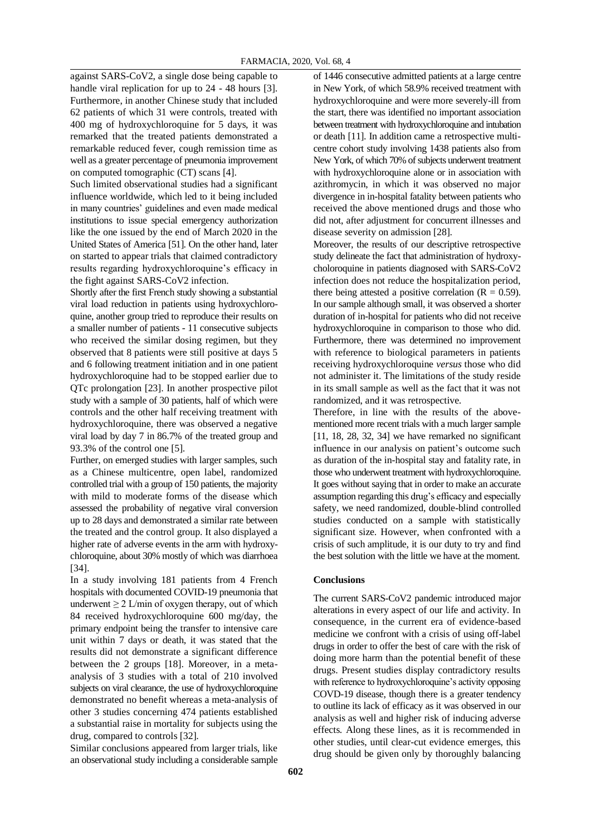against SARS-CoV2, a single dose being capable to handle viral replication for up to 24 - 48 hours [3]. Furthermore, in another Chinese study that included 62 patients of which 31 were controls, treated with 400 mg of hydroxychloroquine for 5 days, it was remarked that the treated patients demonstrated a remarkable reduced fever, cough remission time as well as a greater percentage of pneumonia improvement on computed tomographic (CT) scans [4].

Such limited observational studies had a significant influence worldwide, which led to it being included in many countries' guidelines and even made medical institutions to issue special emergency authorization like the one issued by the end of March 2020 in the United States of America [51]. On the other hand, later on started to appear trials that claimed contradictory results regarding hydroxychloroquine's efficacy in the fight against SARS-CoV2 infection.

Shortly after the first French study showing a substantial viral load reduction in patients using hydroxychloroquine, another group tried to reproduce their results on a smaller number of patients - 11 consecutive subjects who received the similar dosing regimen, but they observed that 8 patients were still positive at days 5 and 6 following treatment initiation and in one patient hydroxychloroquine had to be stopped earlier due to QTc prolongation [23]. In another prospective pilot study with a sample of 30 patients, half of which were controls and the other half receiving treatment with hydroxychloroquine, there was observed a negative viral load by day 7 in 86.7% of the treated group and 93.3% of the control one [5].

Further, on emerged studies with larger samples, such as a Chinese multicentre, open label, randomized controlled trial with a group of 150 patients, the majority with mild to moderate forms of the disease which assessed the probability of negative viral conversion up to 28 days and demonstrated a similar rate between the treated and the control group. It also displayed a higher rate of adverse events in the arm with hydroxychloroquine, about 30% mostly of which was diarrhoea [34].

In a study involving 181 patients from 4 French hospitals with documented COVID-19 pneumonia that underwent  $\geq 2$  L/min of oxygen therapy, out of which 84 received hydroxychloroquine 600 mg/day, the primary endpoint being the transfer to intensive care unit within 7 days or death, it was stated that the results did not demonstrate a significant difference between the 2 groups [18]. Moreover, in a metaanalysis of 3 studies with a total of 210 involved subjects on viral clearance, the use of hydroxychloroquine demonstrated no benefit whereas a meta-analysis of other 3 studies concerning 474 patients established a substantial raise in mortality for subjects using the drug, compared to controls [32].

Similar conclusions appeared from larger trials, like an observational study including a considerable sample of 1446 consecutive admitted patients at a large centre in New York, of which 58.9% received treatment with hydroxychloroquine and were more severely-ill from the start, there was identified no important association between treatment with hydroxychloroquine and intubation or death [11]. In addition came a retrospective multicentre cohort study involving 1438 patients also from New York, of which 70% of subjects underwent treatment with hydroxychloroquine alone or in association with azithromycin, in which it was observed no major divergence in in-hospital fatality between patients who received the above mentioned drugs and those who did not, after adjustment for concurrent illnesses and disease severity on admission [28].

Moreover, the results of our descriptive retrospective study delineate the fact that administration of hydroxycholoroquine in patients diagnosed with SARS-CoV2 infection does not reduce the hospitalization period, there being attested a positive correlation  $(R = 0.59)$ . In our sample although small, it was observed a shorter duration of in-hospital for patients who did not receive hydroxychloroquine in comparison to those who did. Furthermore, there was determined no improvement with reference to biological parameters in patients receiving hydroxychloroquine *versus* those who did not administer it. The limitations of the study reside in its small sample as well as the fact that it was not randomized, and it was retrospective.

Therefore, in line with the results of the abovementioned more recent trials with a much larger sample [11, 18, 28, 32, 34] we have remarked no significant influence in our analysis on patient's outcome such as duration of the in-hospital stay and fatality rate, in those who underwent treatment with hydroxychloroquine. It goes without saying that in order to make an accurate assumption regarding this drug's efficacy and especially safety, we need randomized, double-blind controlled studies conducted on a sample with statistically significant size. However, when confronted with a crisis of such amplitude, it is our duty to try and find the best solution with the little we have at the moment.

### **Conclusions**

The current SARS-CoV2 pandemic introduced major alterations in every aspect of our life and activity. In consequence, in the current era of evidence-based medicine we confront with a crisis of using off-label drugs in order to offer the best of care with the risk of doing more harm than the potential benefit of these drugs. Present studies display contradictory results with reference to hydroxychloroquine's activity opposing COVD-19 disease, though there is a greater tendency to outline its lack of efficacy as it was observed in our analysis as well and higher risk of inducing adverse effects. Along these lines, as it is recommended in other studies, until clear-cut evidence emerges, this drug should be given only by thoroughly balancing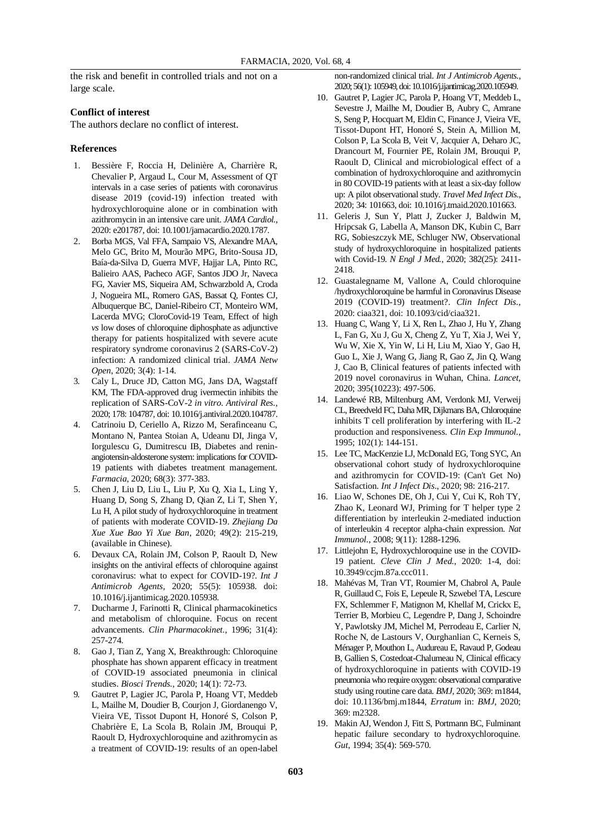the risk and benefit in controlled trials and not on a large scale.

#### **Conflict of interest**

The authors declare no conflict of interest.

#### **References**

- 1. Bessière F, Roccia H, Delinière A, Charrière R, Chevalier P, Argaud L, Cour M, Assessment of QT intervals in a case series of patients with coronavirus disease 2019 (covid-19) infection treated with hydroxychloroquine alone or in combination with azithromycin in an intensive care unit. *JAMA Cardiol.*, 2020: e201787, doi: 10.1001/jamacardio.2020.1787.
- 2. Borba MGS, Val FFA, Sampaio VS, Alexandre MAA, Melo GC, Brito M, Mourão MPG, Brito-Sousa JD, Baía-da-Silva D, Guerra MVF, Hajjar LA, Pinto RC, Balieiro AAS, Pacheco AGF, Santos JDO Jr, Naveca FG, Xavier MS, Siqueira AM, Schwarzbold A, Croda J, Nogueira ML, Romero GAS, Bassat Q, Fontes CJ, Albuquerque BC, Daniel-Ribeiro CT, Monteiro WM, Lacerda MVG; CloroCovid-19 Team, Effect of high *vs* low doses of chloroquine diphosphate as adjunctive therapy for patients hospitalized with severe acute respiratory syndrome coronavirus 2 (SARS-CoV-2) infection: A randomized clinical trial. *JAMA Netw Open*, 2020; 3(4): 1-14.
- 3. Caly L, Druce JD, Catton MG, Jans DA, Wagstaff KM, The FDA-approved drug ivermectin inhibits the replication of SARS-CoV-2 *in vitro*. *Antiviral Res.*, 2020; 178: 104787, doi: 10.1016/j.antiviral.2020.104787.
- 4. Catrinoiu D, Ceriello A, Rizzo M, Serafinceanu C, Montano N, Pantea Stoian A, Udeanu DI, Jinga V, Iorgulescu G, Dumitrescu IB, Diabetes and reninangiotensin-aldosterone system: implications for COVID-19 patients with diabetes treatment management. *Farmacia*, 2020; 68(3): 377-383.
- 5. Chen J, Liu D, Liu L, Liu P, Xu Q, Xia L, Ling Y, Huang D, Song S, Zhang D, Qian Z, Li T, Shen Y, Lu H, A pilot study of hydroxychloroquine in treatment of patients with moderate COVID-19. *Zhejiang Da Xue Xue Bao Yi Xue Ban*, 2020; 49(2): 215-219, (available in Chinese).
- 6. Devaux CA, Rolain JM, Colson P, Raoult D, New insights on the antiviral effects of chloroquine against coronavirus: what to expect for COVID-19?. *Int J Antimicrob Agents*, 2020; 55(5): 105938. doi: 10.1016/j.ijantimicag.2020.105938.
- 7. Ducharme J, Farinotti R, Clinical pharmacokinetics and metabolism of chloroquine. Focus on recent advancements. *Clin Pharmacokinet.*, 1996; 31(4): 257-274.
- 8. Gao J, Tian Z, Yang X, Breakthrough: Chloroquine phosphate has shown apparent efficacy in treatment of COVID-19 associated pneumonia in clinical studies. *Biosci Trends.*, 2020; 14(1): 72-73.
- 9. Gautret P, Lagier JC, Parola P, Hoang VT, Meddeb L, Mailhe M, Doudier B, Courjon J, Giordanengo V, Vieira VE, Tissot Dupont H, Honoré S, Colson P, Chabrière E, La Scola B, Rolain JM, Brouqui P, Raoult D, Hydroxychloroquine and azithromycin as a treatment of COVID-19: results of an open-label

non-randomized clinical trial. *Int J Antimicrob Agents.*, 2020; 56(1): 105949, doi: 10.1016/j.ijantimicag.2020.105949.

- 10. Gautret P, Lagier JC, Parola P, Hoang VT, Meddeb L, Sevestre J, Mailhe M, Doudier B, Aubry C, Amrane S, Seng P, Hocquart M, Eldin C, Finance J, Vieira VE, Tissot-Dupont HT, Honoré S, Stein A, Million M, Colson P, La Scola B, Veit V, Jacquier A, Deharo JC, Drancourt M, Fournier PE, Rolain JM, Brouqui P, Raoult D, Clinical and microbiological effect of a combination of hydroxychloroquine and azithromycin in 80 COVID-19 patients with at least a six-day follow up: A pilot observational study. *Travel Med Infect Dis.*, 2020; 34: 101663, doi: 10.1016/j.tmaid.2020.101663.
- 11. Geleris J, Sun Y, Platt J, Zucker J, Baldwin M, Hripcsak G, Labella A, Manson DK, Kubin C, Barr RG, Sobieszczyk ME, Schluger NW, Observational study of hydroxychloroquine in hospitalized patients with Covid-19. *N Engl J Med.*, 2020; 382(25): 2411- 2418.
- 12. Guastalegname M, Vallone A, Could chloroquine /hydroxychloroquine be harmful in Coronavirus Disease 2019 (COVID-19) treatment?. *Clin Infect Dis.*, 2020: ciaa321, doi: 10.1093/cid/ciaa321.
- 13. Huang C, Wang Y, Li X, Ren L, Zhao J, Hu Y, Zhang L, Fan G, Xu J, Gu X, Cheng Z, Yu T, Xia J, Wei Y, Wu W, Xie X, Yin W, Li H, Liu M, Xiao Y, Gao H, Guo L, Xie J, Wang G, Jiang R, Gao Z, Jin Q, Wang J, Cao B, Clinical features of patients infected with 2019 novel coronavirus in Wuhan, China. *Lancet*, 2020; 395(10223): 497-506.
- 14. Landewé RB, Miltenburg AM, Verdonk MJ, Verweij CL, Breedveld FC, Daha MR, Dijkmans BA, Chloroquine inhibits T cell proliferation by interfering with IL-2 production and responsiveness. *Clin Exp Immunol.*, 1995; 102(1): 144-151.
- 15. Lee TC, MacKenzie LJ, McDonald EG, Tong SYC, An observational cohort study of hydroxychloroquine and azithromycin for COVID-19: (Can't Get No) Satisfaction. *Int J Infect Dis*., 2020; 98: 216-217.
- 16. Liao W, Schones DE, Oh J, Cui Y, Cui K, Roh TY, Zhao K, Leonard WJ, Priming for T helper type 2 differentiation by interleukin 2-mediated induction of interleukin 4 receptor alpha-chain expression. *Nat Immunol.*, 2008; 9(11): 1288-1296.
- 17. Littlejohn E, Hydroxychloroquine use in the COVID-19 patient. *Cleve Clin J Med.*, 2020: 1-4, doi: 10.3949/ccjm.87a.ccc011.
- 18. Mahévas M, Tran VT, Roumier M, Chabrol A, Paule R, Guillaud C, Fois E, Lepeule R, Szwebel TA, Lescure FX, Schlemmer F, Matignon M, Khellaf M, Crickx E, Terrier B, Morbieu C, Legendre P, Dang J, Schoindre Y, Pawlotsky JM, Michel M, Perrodeau E, Carlier N, Roche N, de Lastours V, Ourghanlian C, Kerneis S, Ménager P, Mouthon L, Audureau E, Ravaud P, Godeau B, Gallien S, Costedoat-Chalumeau N, Clinical efficacy of hydroxychloroquine in patients with COVID-19 pneumonia who require oxygen: observational comparative study using routine care data. *BMJ*, 2020; 369: m1844, doi: 10.1136/bmj.m1844, *Erratum* in: *BMJ*, 2020; 369: m2328.
- 19. Makin AJ, Wendon J, Fitt S, Portmann BC, Fulminant hepatic failure secondary to hydroxychloroquine. *Gut*, 1994; 35(4): 569-570.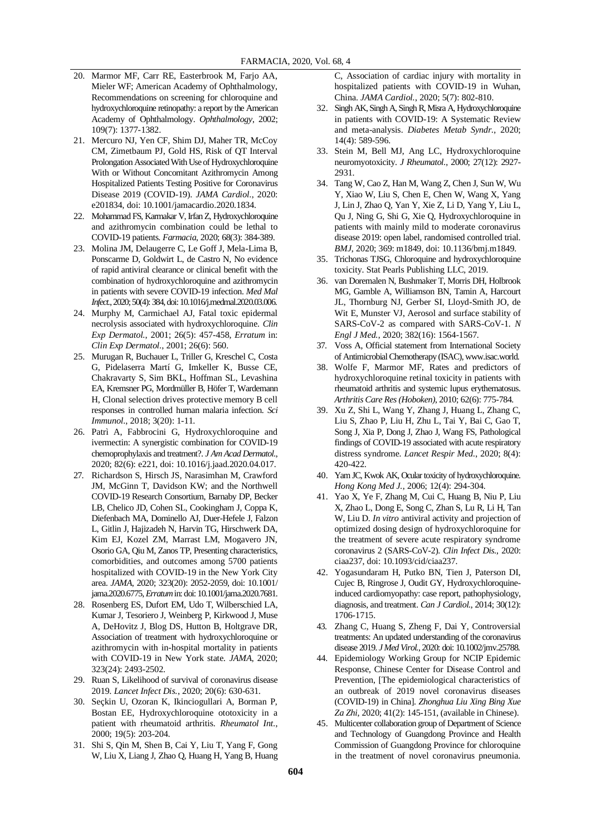- 20. Marmor MF, Carr RE, Easterbrook M, Farjo AA, Mieler WF; American Academy of Ophthalmology, Recommendations on screening for chloroquine and hydroxychloroquine retinopathy: a report by the American Academy of Ophthalmology. *Ophthalmology*, 2002; 109(7): 1377-1382.
- 21. Mercuro NJ, Yen CF, Shim DJ, Maher TR, McCoy CM, Zimetbaum PJ, Gold HS, Risk of QT Interval Prolongation Associated With Use of Hydroxychloroquine With or Without Concomitant Azithromycin Among Hospitalized Patients Testing Positive for Coronavirus Disease 2019 (COVID-19). *JAMA Cardiol.*, 2020: e201834, doi: 10.1001/jamacardio.2020.1834.
- 22. Mohammad FS, Karmakar V, Irfan Z, Hydroxychloroquine and azithromycin combination could be lethal to COVID-19 patients. *Farmacia*, 2020; 68(3): 384-389.
- 23. Molina JM, Delaugerre C, Le Goff J, Mela-Lima B, Ponscarme D, Goldwirt L, de Castro N, No evidence of rapid antiviral clearance or clinical benefit with the combination of hydroxychloroquine and azithromycin in patients with severe COVID-19 infection. *Med Mal Infect.*, 2020; 50(4): 384, doi: 10.1016/j.medmal.2020.03.006.
- 24. Murphy M, Carmichael AJ, Fatal toxic epidermal necrolysis associated with hydroxychloroquine. *Clin Exp Dermatol.*, 2001; 26(5): 457-458, *Erratum* in: *Clin Exp Dermatol.*, 2001; 26(6): 560.
- 25. Murugan R, Buchauer L, Triller G, Kreschel C, Costa G, Pidelaserra Martí G, Imkeller K, Busse CE, Chakravarty S, Sim BKL, Hoffman SL, Levashina EA, Kremsner PG, Mordmüller B, Höfer T, Wardemann H, Clonal selection drives protective memory B cell responses in controlled human malaria infection. *Sci Immunol.*, 2018; 3(20): 1-11.
- 26. Patrì A, Fabbrocini G, Hydroxychloroquine and ivermectin: A synergistic combination for COVID-19 chemoprophylaxis and treatment?. *J Am Acad Dermatol.*, 2020; 82(6): e221, doi: 10.1016/j.jaad.2020.04.017.
- 27. Richardson S, Hirsch JS, Narasimhan M, Crawford JM, McGinn T, Davidson KW; and the Northwell COVID-19 Research Consortium, Barnaby DP, Becker LB, Chelico JD, Cohen SL, Cookingham J, Coppa K, Diefenbach MA, Dominello AJ, Duer-Hefele J, Falzon L, Gitlin J, Hajizadeh N, Harvin TG, Hirschwerk DA, Kim EJ, Kozel ZM, Marrast LM, Mogavero JN, Osorio GA, Qiu M, Zanos TP, Presenting characteristics, comorbidities, and outcomes among 5700 patients hospitalized with COVID-19 in the New York City area. *JAMA*, 2020; 323(20): 2052-2059, doi: 10.1001/ jama.2020.6775, *Erratum*in: doi: 10.1001/jama.2020.7681.
- 28. Rosenberg ES, Dufort EM, Udo T, Wilberschied LA, Kumar J, Tesoriero J, Weinberg P, Kirkwood J, Muse A, DeHovitz J, Blog DS, Hutton B, Holtgrave DR, Association of treatment with hydroxychloroquine or azithromycin with in-hospital mortality in patients with COVID-19 in New York state. *JAMA*, 2020; 323(24): 2493-2502.
- 29. Ruan S, Likelihood of survival of coronavirus disease 2019. *Lancet Infect Dis.*, 2020; 20(6): 630-631.
- 30. Seçkin U, Ozoran K, Ikinciogullari A, Borman P, Bostan EE, Hydroxychloroquine ototoxicity in a patient with rheumatoid arthritis. *Rheumatol Int.*, 2000; 19(5): 203-204.
- 31. Shi S, Qin M, Shen B, Cai Y, Liu T, Yang F, Gong W, Liu X, Liang J, Zhao Q, Huang H, Yang B, Huang

C, Association of cardiac injury with mortality in hospitalized patients with COVID-19 in Wuhan, China. *JAMA Cardiol.*, 2020; 5(7): 802-810.

- 32. Singh AK, Singh A, Singh R, Misra A, Hydroxychloroquine in patients with COVID-19: A Systematic Review and meta-analysis. *Diabetes Metab Syndr.*, 2020; 14(4): 589-596.
- 33. Stein M, Bell MJ, Ang LC, Hydroxychloroquine neuromyotoxicity. *J Rheumatol.*, 2000; 27(12): 2927- 2931.
- 34. Tang W, Cao Z, Han M, Wang Z, Chen J, Sun W, Wu Y, Xiao W, Liu S, Chen E, Chen W, Wang X, Yang J, Lin J, Zhao Q, Yan Y, Xie Z, Li D, Yang Y, Liu L, Qu J, Ning G, Shi G, Xie Q, Hydroxychloroquine in patients with mainly mild to moderate coronavirus disease 2019: open label, randomised controlled trial. *BMJ*, 2020; 369: m1849, doi: 10.1136/bmj.m1849.
- 35. Trichonas TJSG, Chloroquine and hydroxychloroquine toxicity. Stat Pearls Publishing LLC, 2019.
- 36. van Doremalen N, Bushmaker T, Morris DH, Holbrook MG, Gamble A, Williamson BN, Tamin A, Harcourt JL, Thornburg NJ, Gerber SI, Lloyd-Smith JO, de Wit E, Munster VJ, Aerosol and surface stability of SARS-CoV-2 as compared with SARS-CoV-1. *N Engl J Med.*, 2020; 382(16): 1564-1567.
- 37. Voss A, Official statement from International Society of Antimicrobial Chemotherapy (ISAC), www.isac.world.
- 38. Wolfe F, Marmor MF, Rates and predictors of hydroxychloroquine retinal toxicity in patients with rheumatoid arthritis and systemic lupus erythematosus. *Arthritis Care Res (Hoboken)*, 2010; 62(6): 775-784.
- 39. Xu Z, Shi L, Wang Y, Zhang J, Huang L, Zhang C, Liu S, Zhao P, Liu H, Zhu L, Tai Y, Bai C, Gao T, Song J, Xia P, Dong J, Zhao J, Wang FS, Pathological findings of COVID-19 associated with acute respiratory distress syndrome. *Lancet Respir Med.*, 2020; 8(4): 420-422.
- 40. Yam JC, Kwok AK, Ocular toxicity of hydroxychloroquine. *Hong Kong Med J.*, 2006; 12(4): 294-304.
- 41. Yao X, Ye F, Zhang M, Cui C, Huang B, Niu P, Liu X, Zhao L, Dong E, Song C, Zhan S, Lu R, Li H, Tan W, Liu D. *In vitro* antiviral activity and projection of optimized dosing design of hydroxychloroquine for the treatment of severe acute respiratory syndrome coronavirus 2 (SARS-CoV-2). *Clin Infect Dis.*, 2020: ciaa237, doi: 10.1093/cid/ciaa237.
- 42. Yogasundaram H, Putko BN, Tien J, Paterson DI, Cujec B, Ringrose J, Oudit GY, Hydroxychloroquineinduced cardiomyopathy: case report, pathophysiology, diagnosis, and treatment. *Can J Cardiol.*, 2014; 30(12): 1706-1715.
- 43. Zhang C, Huang S, Zheng F, Dai Y, Controversial treatments: An updated understanding of the coronavirus disease 2019. *J Med Virol.*, 2020: doi: 10.1002/jmv.25788.
- 44. Epidemiology Working Group for NCIP Epidemic Response, Chinese Center for Disease Control and Prevention, [The epidemiological characteristics of an outbreak of 2019 novel coronavirus diseases (COVID-19) in China]. *Zhonghua Liu Xing Bing Xue Za Zhi*, 2020; 41(2): 145-151, (available in Chinese).
- 45. Multicenter collaboration group of Department of Science and Technology of Guangdong Province and Health Commission of Guangdong Province for chloroquine in the treatment of novel coronavirus pneumonia.